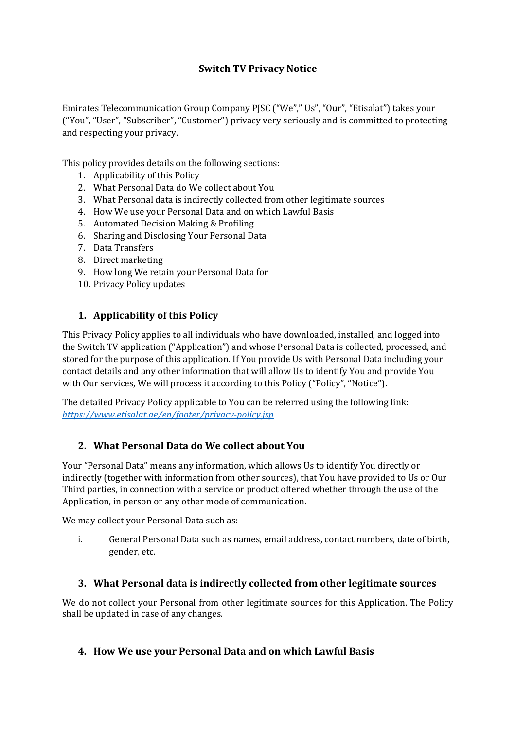# **Switch TV Privacy Notice**

Emirates Telecommunication Group Company PJSC ("We"," Us", "Our", "Etisalat") takes your ("You", "User", "Subscriber", "Customer") privacy very seriously and is committed to protecting and respecting your privacy.

This policy provides details on the following sections:

- 1. Applicability of this Policy
- 2. What Personal Data do We collect about You
- 3. What Personal data is indirectly collected from other legitimate sources
- 4. How We use your Personal Data and on which Lawful Basis
- 5. Automated Decision Making & Profiling
- 6. Sharing and Disclosing Your Personal Data
- 7. Data Transfers
- 8. Direct marketing
- 9. How long We retain your Personal Data for
- 10. Privacy Policy updates

### **1. Applicability of this Policy**

This Privacy Policy applies to all individuals who have downloaded, installed, and logged into the Switch TV application ("Application") and whose Personal Data is collected, processed, and stored for the purpose of this application. If You provide Us with Personal Data including your contact details and any other information that will allow Us to identify You and provide You with Our services, We will process it according to this Policy ("Policy", "Notice").

The detailed Privacy Policy applicable to You can be referred using the following link: *<https://www.etisalat.ae/en/footer/privacy-policy.jsp>*

### **2. What Personal Data do We collect about You**

Your "Personal Data" means any information, which allows Us to identify You directly or indirectly (together with information from other sources), that You have provided to Us or Our Third parties, in connection with a service or product offered whether through the use of the Application, in person or any other mode of communication.

We may collect your Personal Data such as:

i. General Personal Data such as names, email address, contact numbers, date of birth, gender, etc.

### **3. What Personal data is indirectly collected from other legitimate sources**

We do not collect your Personal from other legitimate sources for this Application. The Policy shall be updated in case of any changes.

### **4. How We use your Personal Data and on which Lawful Basis**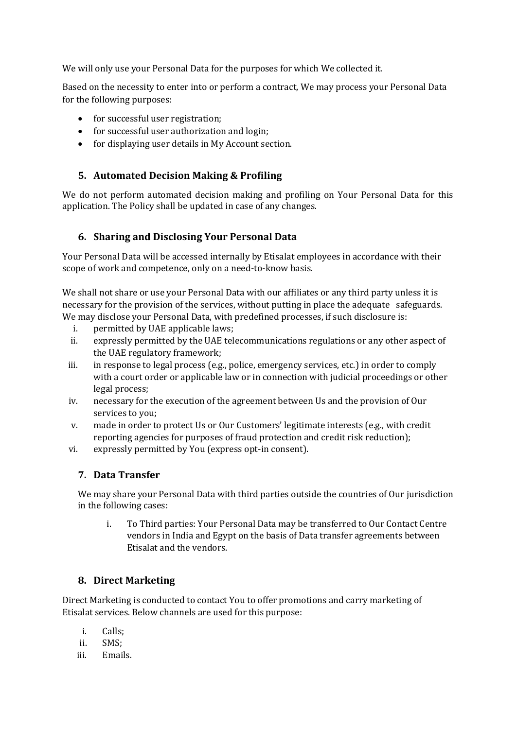We will only use your Personal Data for the purposes for which We collected it.

Based on the necessity to enter into or perform a contract, We may process your Personal Data for the following purposes:

- for successful user registration;
- for successful user authorization and login;
- for displaying user details in My Account section.

## **5. Automated Decision Making & Profiling**

We do not perform automated decision making and profiling on Your Personal Data for this application. The Policy shall be updated in case of any changes.

## **6. Sharing and Disclosing Your Personal Data**

Your Personal Data will be accessed internally by Etisalat employees in accordance with their scope of work and competence, only on a need-to-know basis.

We shall not share or use your Personal Data with our affiliates or any third party unless it is necessary for the provision of the services, without putting in place the adequate safeguards. We may disclose your Personal Data, with predefined processes, if such disclosure is:<br>i permitted by HAE annlicable laws:

- permitted by UAE applicable laws;
- ii. expressly permitted by the UAE telecommunications regulations or any other aspect of the UAE regulatory framework;
- iii. in response to legal process (e.g., police, emergency services, etc.) in order to comply with a court order or applicable law or in connection with judicial proceedings or other legal process;
- iv. necessary for the execution of the agreement between Us and the provision of Our services to you;
- v. made in order to protect Us or Our Customers' legitimate interests (e.g., with credit reporting agencies for purposes of fraud protection and credit risk reduction);
- vi. expressly permitted by You (express opt-in consent).

### **7. Data Transfer**

We may share your Personal Data with third parties outside the countries of Our jurisdiction in the following cases:

i. To Third parties: Your Personal Data may be transferred to Our Contact Centre vendors in India and Egypt on the basis of Data transfer agreements between Etisalat and the vendors.

## **8. Direct Marketing**

Direct Marketing is conducted to contact You to offer promotions and carry marketing of Etisalat services. Below channels are used for this purpose:

- i. Calls;
- ii. SMS;
- Emails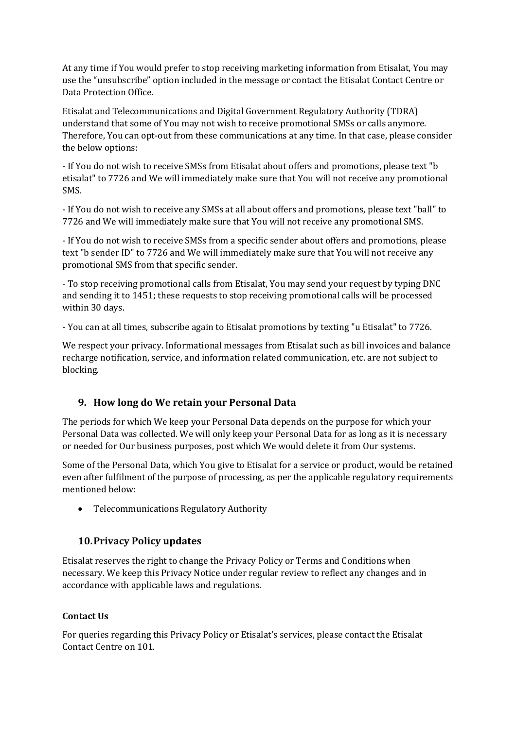At any time if You would prefer to stop receiving marketing information from Etisalat, You may use the "unsubscribe" option included in the message or contact the Etisalat Contact Centre or Data Protection Office.

Etisalat and Telecommunications and Digital Government Regulatory Authority (TDRA) understand that some of You may not wish to receive promotional SMSs or calls anymore. Therefore, You can opt-out from these communications at any time. In that case, please consider the below options:

- If You do not wish to receive SMSs from Etisalat about offers and promotions, please text "b etisalat" to 7726 and We will immediately make sure that You will not receive any promotional SMS.

- If You do not wish to receive any SMSs at all about offers and promotions, please text "ball" to 7726 and We will immediately make sure that You will not receive any promotional SMS.

- If You do not wish to receive SMSs from a specific sender about offers and promotions, please text "b sender ID" to 7726 and We will immediately make sure that You will not receive any promotional SMS from that specific sender.

- To stop receiving promotional calls from Etisalat, You may send your request by typing DNC and sending it to 1451; these requests to stop receiving promotional calls will be processed within 30 days.

- You can at all times, subscribe again to Etisalat promotions by texting "u Etisalat" to 7726.

We respect your privacy. Informational messages from Etisalat such as bill invoices and balance recharge notification, service, and information related communication, etc. are not subject to blocking.

### **9. How long do We retain your Personal Data**

The periods for which We keep your Personal Data depends on the purpose for which your Personal Data was collected. We will only keep your Personal Data for as long as it is necessary or needed for Our business purposes, post which We would delete it from Our systems.

Some of the Personal Data, which You give to Etisalat for a service or product, would be retained even after fulfilment of the purpose of processing, as per the applicable regulatory requirements mentioned below:

• Telecommunications Regulatory Authority

## **10.Privacy Policy updates**

Etisalat reserves the right to change the Privacy Policy or Terms and Conditions when necessary. We keep this Privacy Notice under regular review to reflect any changes and in accordance with applicable laws and regulations.

### **Contact Us**

For queries regarding this Privacy Policy or Etisalat's services, please contact the Etisalat Contact Centre on 101.